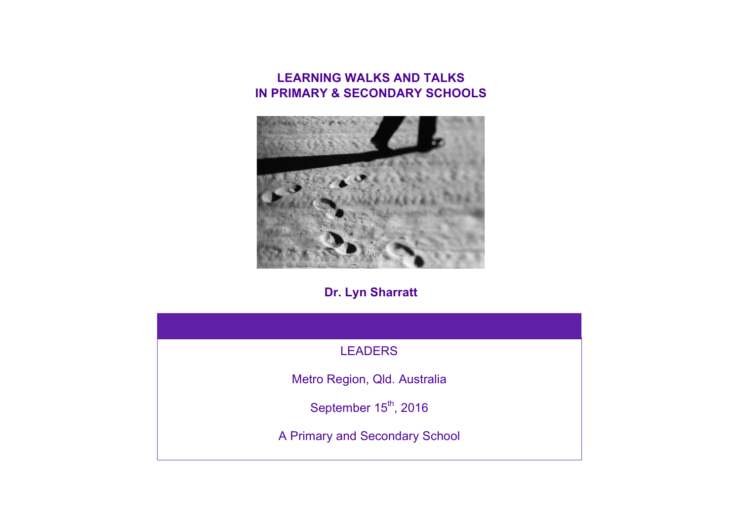## **LEARNING WALKS AND TALKS IN PRIMARY & SECONDARY SCHOOLS**



## **Dr. Lyn Sharratt**

| <b>LEADERS</b>                    |
|-----------------------------------|
| Metro Region, Qld. Australia      |
| September 15 <sup>th</sup> , 2016 |
| A Primary and Secondary School    |
|                                   |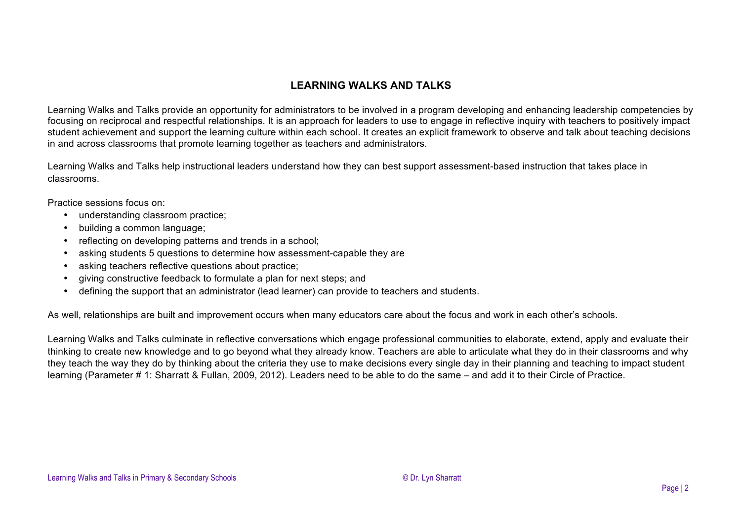## **LEARNING WALKS AND TALKS**

Learning Walks and Talks provide an opportunity for administrators to be involved in a program developing and enhancing leadership competencies by focusing on reciprocal and respectful relationships. It is an approach for leaders to use to engage in reflective inquiry with teachers to positively impact student achievement and support the learning culture within each school. It creates an explicit framework to observe and talk about teaching decisions in and across classrooms that promote learning together as teachers and administrators.

Learning Walks and Talks help instructional leaders understand how they can best support assessment-based instruction that takes place in classrooms.

Practice sessions focus on:

- understanding classroom practice;
- building a common language;
- reflecting on developing patterns and trends in a school;
- asking students 5 questions to determine how assessment-capable they are
- asking teachers reflective questions about practice;
- giving constructive feedback to formulate a plan for next steps; and
- defining the support that an administrator (lead learner) can provide to teachers and students.

As well, relationships are built and improvement occurs when many educators care about the focus and work in each other's schools.

Learning Walks and Talks culminate in reflective conversations which engage professional communities to elaborate, extend, apply and evaluate their thinking to create new knowledge and to go beyond what they already know. Teachers are able to articulate what they do in their classrooms and why they teach the way they do by thinking about the criteria they use to make decisions every single day in their planning and teaching to impact student learning (Parameter # 1: Sharratt & Fullan, 2009, 2012). Leaders need to be able to do the same – and add it to their Circle of Practice.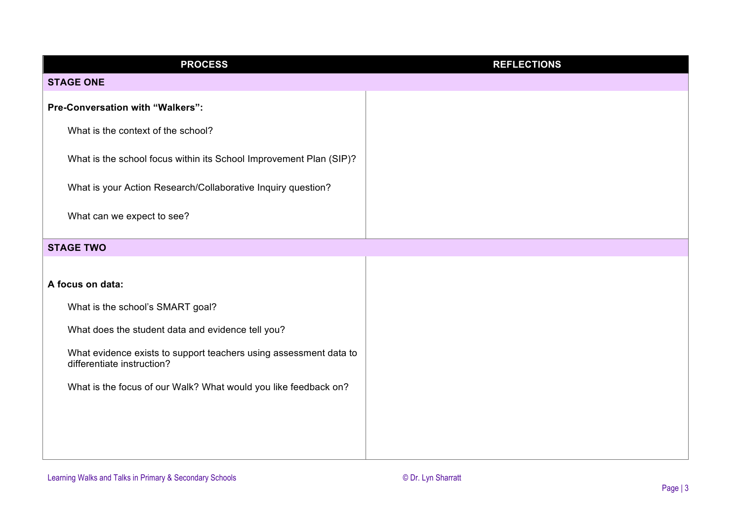| <b>PROCESS</b>                                                                                  | <b>REFLECTIONS</b> |  |  |
|-------------------------------------------------------------------------------------------------|--------------------|--|--|
| <b>STAGE ONE</b>                                                                                |                    |  |  |
| Pre-Conversation with "Walkers":                                                                |                    |  |  |
| What is the context of the school?                                                              |                    |  |  |
| What is the school focus within its School Improvement Plan (SIP)?                              |                    |  |  |
| What is your Action Research/Collaborative Inquiry question?                                    |                    |  |  |
| What can we expect to see?                                                                      |                    |  |  |
| <b>STAGE TWO</b>                                                                                |                    |  |  |
| A focus on data:                                                                                |                    |  |  |
| What is the school's SMART goal?                                                                |                    |  |  |
| What does the student data and evidence tell you?                                               |                    |  |  |
| What evidence exists to support teachers using assessment data to<br>differentiate instruction? |                    |  |  |
| What is the focus of our Walk? What would you like feedback on?                                 |                    |  |  |
|                                                                                                 |                    |  |  |
|                                                                                                 |                    |  |  |
|                                                                                                 |                    |  |  |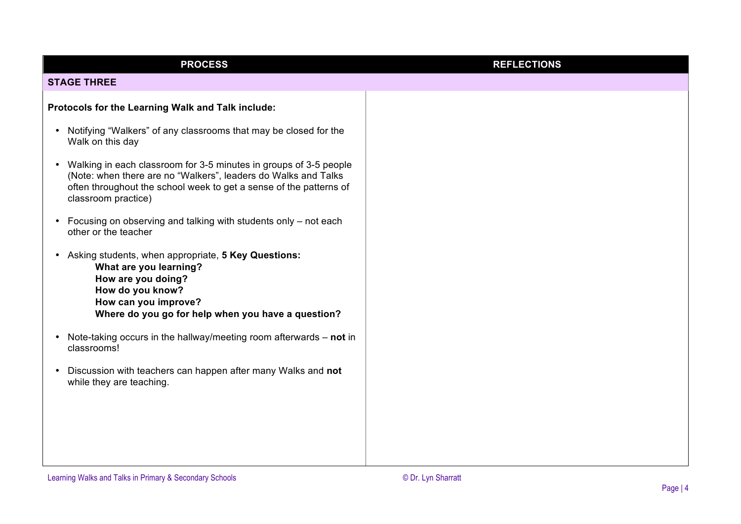| <b>PROCESS</b>                                                                                                                                                                                                                                | <b>REFLECTIONS</b> |
|-----------------------------------------------------------------------------------------------------------------------------------------------------------------------------------------------------------------------------------------------|--------------------|
| <b>STAGE THREE</b>                                                                                                                                                                                                                            |                    |
| Protocols for the Learning Walk and Talk include:                                                                                                                                                                                             |                    |
| Notifying "Walkers" of any classrooms that may be closed for the<br>$\bullet$<br>Walk on this day                                                                                                                                             |                    |
| Walking in each classroom for 3-5 minutes in groups of 3-5 people<br>$\bullet$<br>(Note: when there are no "Walkers", leaders do Walks and Talks<br>often throughout the school week to get a sense of the patterns of<br>classroom practice) |                    |
| Focusing on observing and talking with students only – not each<br>$\bullet$<br>other or the teacher                                                                                                                                          |                    |
| Asking students, when appropriate, 5 Key Questions:<br>٠<br>What are you learning?<br>How are you doing?<br>How do you know?<br>How can you improve?<br>Where do you go for help when you have a question?                                    |                    |
| Note-taking occurs in the hallway/meeting room afterwards $-$ not in<br>$\bullet$<br>classrooms!                                                                                                                                              |                    |
| Discussion with teachers can happen after many Walks and not<br>$\bullet$<br>while they are teaching.                                                                                                                                         |                    |
|                                                                                                                                                                                                                                               |                    |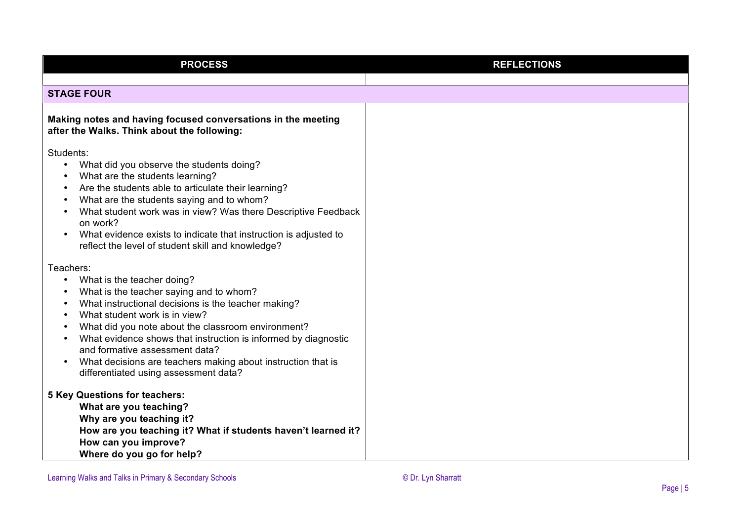| <b>PROCESS</b>                                                                                                                                                                                                                                                                                                                                                                                     | <b>REFLECTIONS</b> |  |
|----------------------------------------------------------------------------------------------------------------------------------------------------------------------------------------------------------------------------------------------------------------------------------------------------------------------------------------------------------------------------------------------------|--------------------|--|
|                                                                                                                                                                                                                                                                                                                                                                                                    |                    |  |
| <b>STAGE FOUR</b>                                                                                                                                                                                                                                                                                                                                                                                  |                    |  |
| Making notes and having focused conversations in the meeting<br>after the Walks. Think about the following:                                                                                                                                                                                                                                                                                        |                    |  |
| Students:                                                                                                                                                                                                                                                                                                                                                                                          |                    |  |
| What did you observe the students doing?<br>What are the students learning?<br>Are the students able to articulate their learning?<br>What are the students saying and to whom?<br>What student work was in view? Was there Descriptive Feedback<br>on work?<br>What evidence exists to indicate that instruction is adjusted to<br>$\bullet$<br>reflect the level of student skill and knowledge? |                    |  |
| Teachers:                                                                                                                                                                                                                                                                                                                                                                                          |                    |  |
| What is the teacher doing?<br>$\bullet$                                                                                                                                                                                                                                                                                                                                                            |                    |  |
| What is the teacher saying and to whom?                                                                                                                                                                                                                                                                                                                                                            |                    |  |
| What instructional decisions is the teacher making?                                                                                                                                                                                                                                                                                                                                                |                    |  |
| What student work is in view?                                                                                                                                                                                                                                                                                                                                                                      |                    |  |
| What did you note about the classroom environment?                                                                                                                                                                                                                                                                                                                                                 |                    |  |
| What evidence shows that instruction is informed by diagnostic<br>and formative assessment data?                                                                                                                                                                                                                                                                                                   |                    |  |
| What decisions are teachers making about instruction that is<br>differentiated using assessment data?                                                                                                                                                                                                                                                                                              |                    |  |
| <b>5 Key Questions for teachers:</b>                                                                                                                                                                                                                                                                                                                                                               |                    |  |
| What are you teaching?                                                                                                                                                                                                                                                                                                                                                                             |                    |  |
| Why are you teaching it?                                                                                                                                                                                                                                                                                                                                                                           |                    |  |
| How are you teaching it? What if students haven't learned it?                                                                                                                                                                                                                                                                                                                                      |                    |  |
| How can you improve?                                                                                                                                                                                                                                                                                                                                                                               |                    |  |
| Where do you go for help?                                                                                                                                                                                                                                                                                                                                                                          |                    |  |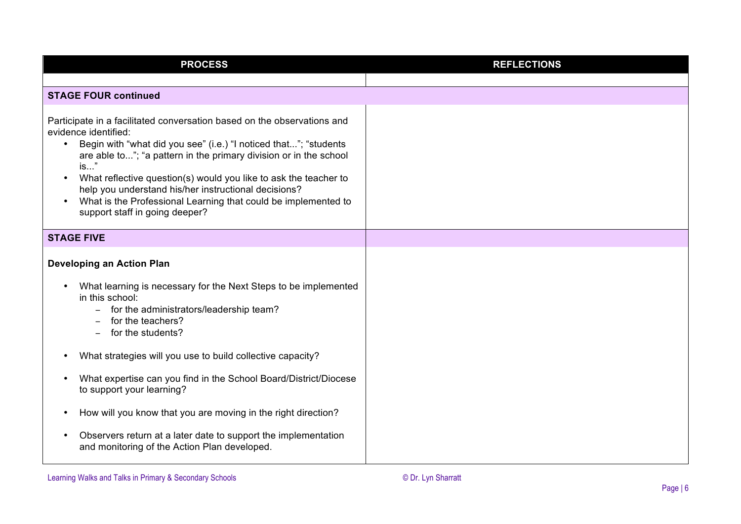| <b>PROCESS</b>                                                                                                                                                                                                                                                                                                                                                                                                                                                                                               | <b>REFLECTIONS</b> |
|--------------------------------------------------------------------------------------------------------------------------------------------------------------------------------------------------------------------------------------------------------------------------------------------------------------------------------------------------------------------------------------------------------------------------------------------------------------------------------------------------------------|--------------------|
|                                                                                                                                                                                                                                                                                                                                                                                                                                                                                                              |                    |
| <b>STAGE FOUR continued</b>                                                                                                                                                                                                                                                                                                                                                                                                                                                                                  |                    |
| Participate in a facilitated conversation based on the observations and<br>evidence identified:<br>Begin with "what did you see" (i.e.) "I noticed that"; "students<br>$\bullet$<br>are able to"; "a pattern in the primary division or in the school<br>$is$ "<br>What reflective question(s) would you like to ask the teacher to<br>$\bullet$<br>help you understand his/her instructional decisions?<br>What is the Professional Learning that could be implemented to<br>support staff in going deeper? |                    |
| <b>STAGE FIVE</b>                                                                                                                                                                                                                                                                                                                                                                                                                                                                                            |                    |
| <b>Developing an Action Plan</b>                                                                                                                                                                                                                                                                                                                                                                                                                                                                             |                    |
| What learning is necessary for the Next Steps to be implemented<br>in this school:<br>for the administrators/leadership team?<br>for the teachers?<br>for the students?                                                                                                                                                                                                                                                                                                                                      |                    |
| What strategies will you use to build collective capacity?                                                                                                                                                                                                                                                                                                                                                                                                                                                   |                    |
| What expertise can you find in the School Board/District/Diocese<br>to support your learning?                                                                                                                                                                                                                                                                                                                                                                                                                |                    |
| How will you know that you are moving in the right direction?                                                                                                                                                                                                                                                                                                                                                                                                                                                |                    |
| Observers return at a later date to support the implementation<br>and monitoring of the Action Plan developed.                                                                                                                                                                                                                                                                                                                                                                                               |                    |